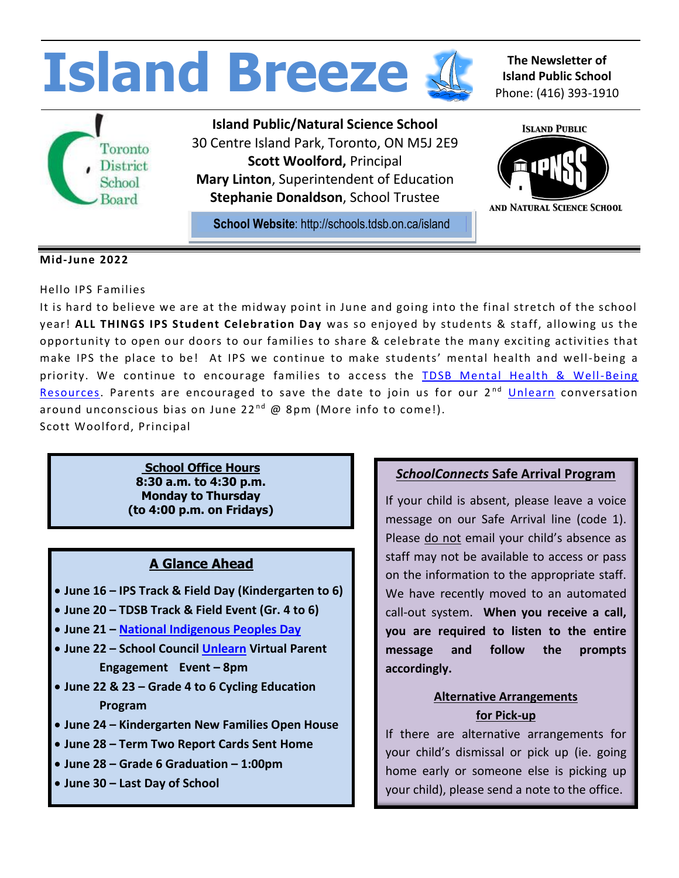

Hello IPS Families

It is hard to believe we are at the midway point in June and going into the final stretch of the school year! **ALL THINGS IPS Student Celebration Day** was so enjoyed by students & staff, allowing us the opportunity to open our doors to our families to share & celebrate the many exciting activities that make IPS the place to be! At IPS we continue to make students' mental health and well-being a priority. We continue to encourage families to access the TDSB Mental Health & Well-Being [Resources.](https://www.tdsb.on.ca/School-Year-2021-22/Mental-Health-and-Well-Being) Parents are encouraged to save the date to join us for our  $2<sup>nd</sup>$  [Unlearn](https://unlearn.com/about/) conversation around unconscious bias on June 22<sup>nd</sup> @ 8pm (More info to come!). Scott Woolford, Principal

> **School Office Hours 8:30 a.m. to 4:30 p.m. Monday to Thursday (to 4:00 p.m. on Fridays)**

## **A Glance Ahead**

- **June 16 – IPS Track & Field Day (Kindergarten to 6)**
- **June 20 – TDSB Track & Field Event (Gr. 4 to 6)**
- **June 21 – [National Indigenous Peoples](https://www.tdsb.on.ca/News/Article-Details/ArtMID/474/ArticleID/1813/TDSB-Celebrates-National-Indigenous-History-Month-June-2022) Day**
- **June 22 – School Council [Unlearn](https://unlearn.com/about/) Virtual Parent Engagement Event – 8pm**
- **June 22 & 23 – Grade 4 to 6 Cycling Education Program**
- **June 24 – Kindergarten New Families Open House**
- **June 28 – Term Two Report Cards Sent Home**
- **June 28 – Grade 6 Graduation – 1:00pm**
- **June 30 – Last Day of School**

### *SchoolConnects* **Safe Arrival Program**

If your child is absent, please leave a voice message on our Safe Arrival line (code 1). Please do not email your child's absence as staff may not be available to access or pass on the information to the appropriate staff. We have recently moved to an automated call-out system. **When you receive a call, you are required to listen to the entire message and follow the prompts accordingly.**

### **Alternative Arrangements for Pick-up**

If there are alternative arrangements for your child's dismissal or pick up (ie. going home early or someone else is picking up your child), please send a note to the office.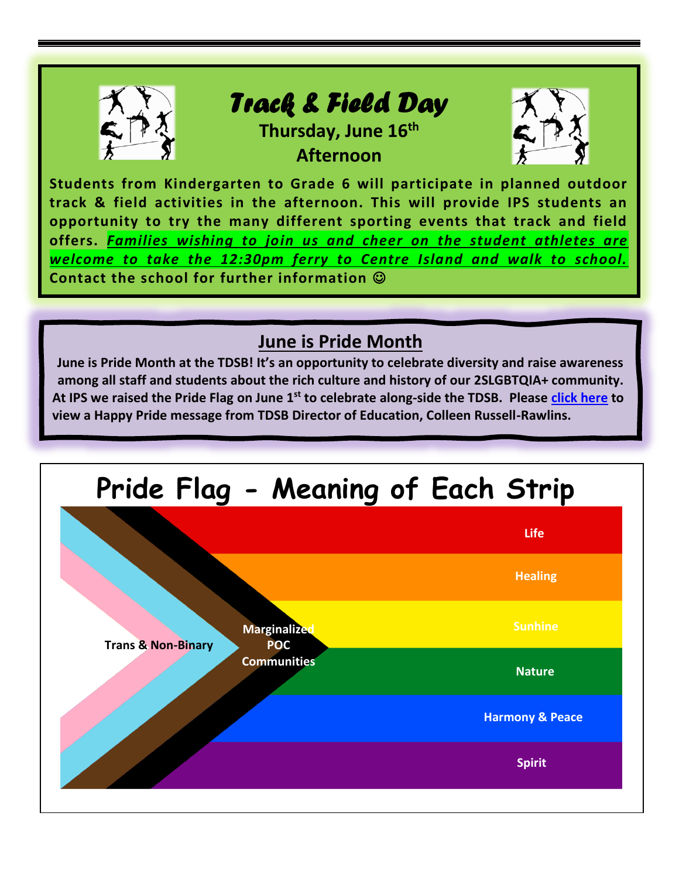

**Students from Kindergarten to Grade 6 will participate in planned outdoor track & field activities in the afternoon. This will provide IPS students an opportunity to try the many different sporting events that track and field offers.** *Families wishing to join us and cheer on the student athletes are welcome to take the 12:30pm ferry to Centre Island and walk to school.* **Contact the school for further information** ☺

# **June is Pride Month**

**June is Pride Month at the TDSB! It's an opportunity to celebrate diversity and raise awareness among all staff and students about the rich culture and history of our 2SLGBTQIA+ community. At IPS we raised the Pride Flag on June 1st to celebrate along-side the TDSB. Please [click](https://www.youtube.com/watch?v=7meJ-sGnDGI) here to view a Happy Pride message from TDSB Director of Education, Colleen Russell-Rawlins.**